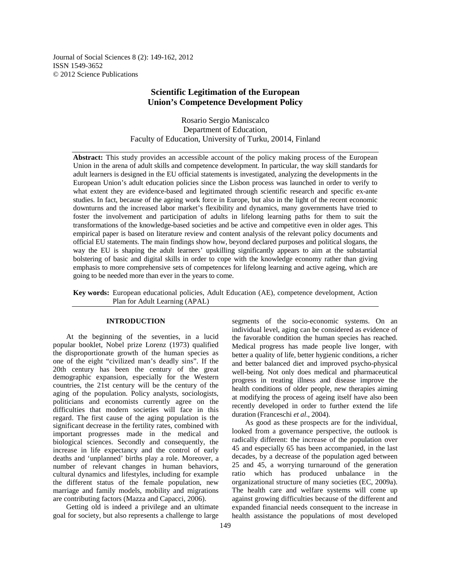Journal of Social Sciences 8 (2): 149-162, 2012 ISSN 1549-3652 © 2012 Science Publications

# **Scientific Legitimation of the European Union's Competence Development Policy**

Rosario Sergio Maniscalco Department of Education, Faculty of Education, University of Turku, 20014, Finland

**Abstract:** This study provides an accessible account of the policy making process of the European Union in the arena of adult skills and competence development. In particular, the way skill standards for adult learners is designed in the EU official statements is investigated, analyzing the developments in the European Union's adult education policies since the Lisbon process was launched in order to verify to what extent they are evidence-based and legitimated through scientific research and specific ex-ante studies. In fact, because of the ageing work force in Europe, but also in the light of the recent economic downturns and the increased labor market's flexibility and dynamics, many governments have tried to foster the involvement and participation of adults in lifelong learning paths for them to suit the transformations of the knowledge-based societies and be active and competitive even in older ages. This empirical paper is based on literature review and content analysis of the relevant policy documents and official EU statements. The main findings show how, beyond declared purposes and political slogans, the way the EU is shaping the adult learners' upskilling significantly appears to aim at the substantial bolstering of basic and digital skills in order to cope with the knowledge economy rather than giving emphasis to more comprehensive sets of competences for lifelong learning and active ageing, which are going to be needed more than ever in the years to come.

**Key words:** European educational policies, Adult Education (AE), competence development, Action Plan for Adult Learning (APAL)

## **INTRODUCTION**

 At the beginning of the seventies, in a lucid popular booklet, Nobel prize Lorenz (1973) qualified the disproportionate growth of the human species as one of the eight "civilized man's deadly sins". If the 20th century has been the century of the great demographic expansion, especially for the Western countries, the 21st century will be the century of the aging of the population. Policy analysts, sociologists, politicians and economists currently agree on the difficulties that modern societies will face in this regard. The first cause of the aging population is the significant decrease in the fertility rates, combined with important progresses made in the medical and biological sciences. Secondly and consequently, the increase in life expectancy and the control of early deaths and 'unplanned' births play a role. Moreover, a number of relevant changes in human behaviors, cultural dynamics and lifestyles, including for example the different status of the female population, new marriage and family models, mobility and migrations are contributing factors (Mazza and Capacci, 2006).

 Getting old is indeed a privilege and an ultimate goal for society, but also represents a challenge to large segments of the socio-economic systems. On an individual level, aging can be considered as evidence of the favorable condition the human species has reached. Medical progress has made people live longer, with better a quality of life, better hygienic conditions, a richer and better balanced diet and improved psycho-physical well-being. Not only does medical and pharmaceutical progress in treating illness and disease improve the health conditions of older people, new therapies aiming at modifying the process of ageing itself have also been recently developed in order to further extend the life duration (Franceschi *et al*., 2004).

 As good as these prospects are for the individual, looked from a governance perspective, the outlook is radically different: the increase of the population over 45 and especially 65 has been accompanied, in the last decades, by a decrease of the population aged between 25 and 45, a worrying turnaround of the generation ratio which has produced unbalance in the organizational structure of many societies (EC, 2009a). The health care and welfare systems will come up against growing difficulties because of the different and expanded financial needs consequent to the increase in health assistance the populations of most developed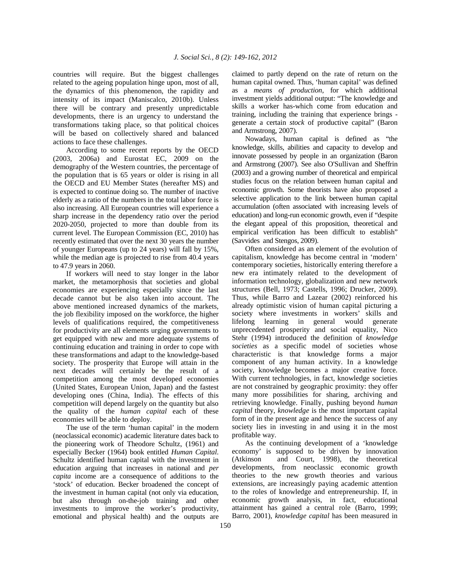countries will require. But the biggest challenges related to the ageing population hinge upon, most of all, the dynamics of this phenomenon, the rapidity and intensity of its impact (Maniscalco, 2010b). Unless there will be contrary and presently unpredictable developments, there is an urgency to understand the transformations taking place, so that political choices will be based on collectively shared and balanced actions to face these challenges.

 According to some recent reports by the OECD (2003, 2006a) and Eurostat EC, 2009 on the demography of the Western countries, the percentage of the population that is 65 years or older is rising in all the OECD and EU Member States (hereafter MS) and is expected to continue doing so. The number of inactive elderly as a ratio of the numbers in the total labor force is also increasing. All European countries will experience a sharp increase in the dependency ratio over the period 2020-2050, projected to more than double from its current level. The European Commission (EC, 2010) has recently estimated that over the next 30 years the number of younger Europeans (up to 24 years) will fall by 15%, while the median age is projected to rise from 40.4 years to 47.9 years in 2060.

 If workers will need to stay longer in the labor market, the metamorphosis that societies and global economies are experiencing especially since the last decade cannot but be also taken into account. The above mentioned increased dynamics of the markets, the job flexibility imposed on the workforce, the higher levels of qualifications required, the competitiveness for productivity are all elements urging governments to get equipped with new and more adequate systems of continuing education and training in order to cope with these transformations and adapt to the knowledge-based society. The prosperity that Europe will attain in the next decades will certainly be the result of a competition among the most developed economies (United States, European Union, Japan) and the fastest developing ones (China, India). The effects of this competition will depend largely on the quantity but also the quality of the *human capital* each of these economies will be able to deploy.

 The use of the term 'human capital' in the modern (neoclassical economic) academic literature dates back to the pioneering work of Theodore Schultz, (1961) and especially Becker (1964) book entitled *Human Capital*. Schultz identified human capital with the investment in education arguing that increases in national and *per capita* income are a consequence of additions to the 'stock' of education. Becker broadened the concept of the investment in human capital (not only via education, but also through on-the-job training and other investments to improve the worker's productivity, emotional and physical health) and the outputs are

claimed to partly depend on the rate of return on the human capital owned. Thus, 'human capital' was defined as a *means of production*, for which additional investment yields additional output: "The knowledge and skills a worker has-which come from education and training, including the training that experience brings generate a certain *stock* of productive capital" (Baron and Armstrong, 2007).

 Nowadays, human capital is defined as "the knowledge, skills, abilities and capacity to develop and innovate possessed by people in an organization (Baron and Armstrong (2007). See also O'Sullivan and Sheffrin (2003) and a growing number of theoretical and empirical studies focus on the relation between human capital and economic growth. Some theorists have also proposed a selective application to the link between human capital accumulation (often associated with increasing levels of education) and long-run economic growth, even if "despite the elegant appeal of this proposition, theoretical and empirical verification has been difficult to establish" (Savvides and Stengos, 2009).

 Often considered as an element of the evolution of capitalism, knowledge has become central in 'modern' contemporary societies, historically entering therefore a new era intimately related to the development of information technology, globalization and new network structures (Bell, 1973; Castells, 1996; Drucker, 2009). Thus, while Barro and Lazear (2002) reinforced his already optimistic vision of human capital picturing a society where investments in workers' skills and lifelong learning in general would generate unprecedented prosperity and social equality, Nico Stehr (1994) introduced the definition of *knowledge societies* as a specific model of societies whose characteristic is that knowledge forms a major component of any human activity. In a knowledge society, knowledge becomes a major creative force. With current technologies, in fact, knowledge societies are not constrained by geographic proximity: they offer many more possibilities for sharing, archiving and retrieving knowledge. Finally, pushing beyond *human capital* theory, *knowledge* is the most important capital form of in the present age and hence the success of any society lies in investing in and using it in the most profitable way.

 As the continuing development of a 'knowledge economy' is supposed to be driven by innovation (Atkinson and Court, 1998), the theoretical developments, from neoclassic economic growth theories to the new growth theories and various extensions, are increasingly paying academic attention to the roles of knowledge and entrepreneurship. If, in economic growth analysis, in fact, educational attainment has gained a central role (Barro, 1999; Barro, 2001), *knowledge capital* has been measured in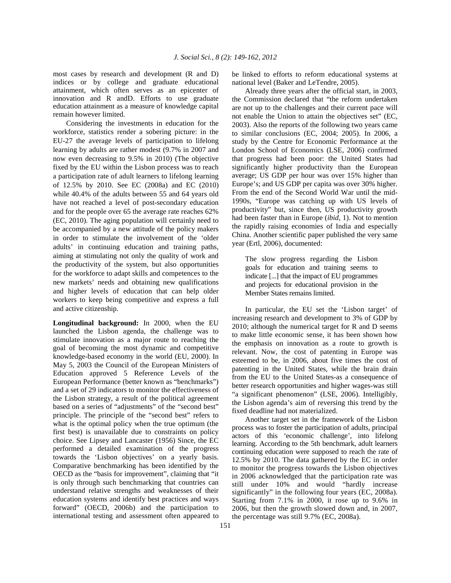most cases by research and development (R and D) indices or by college and graduate educational attainment, which often serves as an epicenter of innovation and R andD. Efforts to use graduate education attainment as a measure of knowledge capital remain however limited.

 Considering the investments in education for the workforce, statistics render a sobering picture: in the EU-27 the average levels of participation to lifelong learning by adults are rather modest (9.7% in 2007 and now even decreasing to 9.5% in 2010) (The objective fixed by the EU within the Lisbon process was to reach a participation rate of adult learners to lifelong learning of 12.5% by 2010. See EC (2008a) and EC (2010) while 40.4% of the adults between 55 and 64 years old have not reached a level of post-secondary education and for the people over 65 the average rate reaches 62% (EC, 2010). The aging population will certainly need to be accompanied by a new attitude of the policy makers in order to stimulate the involvement of the 'older adults' in continuing education and training paths, aiming at stimulating not only the quality of work and the productivity of the system, but also opportunities for the workforce to adapt skills and competences to the new markets' needs and obtaining new qualifications and higher levels of education that can help older workers to keep being competitive and express a full and active citizenship.

**Longitudinal background:** In 2000, when the EU launched the Lisbon agenda, the challenge was to stimulate innovation as a major route to reaching the goal of becoming the most dynamic and competitive knowledge-based economy in the world (EU, 2000). In May 5, 2003 the Council of the European Ministers of Education approved 5 Reference Levels of the European Performance (better known as "benchmarks") and a set of 29 indicators to monitor the effectiveness of the Lisbon strategy, a result of the political agreement based on a series of "adjustments" of the "second best" principle. The principle of the "second best" refers to what is the optimal policy when the true optimum (the first best) is unavailable due to constraints on policy choice. See Lipsey and Lancaster (1956) Since, the EC performed a detailed examination of the progress towards the 'Lisbon objectives' on a yearly basis. Comparative benchmarking has been identified by the OECD as the "basis for improvement", claiming that "it is only through such benchmarking that countries can understand relative strengths and weaknesses of their education systems and identify best practices and ways forward" (OECD, 2006b) and the participation to international testing and assessment often appeared to

be linked to efforts to reform educational systems at national level (Baker and LeTendre, 2005).

 Already three years after the official start, in 2003, the Commission declared that "the reform undertaken are not up to the challenges and their current pace will not enable the Union to attain the objectives set" (EC, 2003). Also the reports of the following two years came to similar conclusions (EC, 2004; 2005). In 2006, a study by the Centre for Economic Performance at the London School of Economics (LSE, 2006) confirmed that progress had been poor: the United States had significantly higher productivity than the European average; US GDP per hour was over 15% higher than Europe's; and US GDP per capita was over 30% higher. From the end of the Second World War until the mid-1990s, "Europe was catching up with US levels of productivity" but, since then, US productivity growth had been faster than in Europe (*ibid*, 1). Not to mention the rapidly raising economies of India and especially China. Another scientific paper published the very same year (Ertl, 2006), documented:

The slow progress regarding the Lisbon goals for education and training seems to indicate [...] that the impact of EU programmes and projects for educational provision in the Member States remains limited.

 In particular, the EU set the 'Lisbon target' of increasing research and development to 3% of GDP by 2010; although the numerical target for R and D seems to make little economic sense, it has been shown how the emphasis on innovation as a route to growth is relevant. Now, the cost of patenting in Europe was esteemed to be, in 2006, about five times the cost of patenting in the United States, while the brain drain from the EU to the United States-as a consequence of better research opportunities and higher wages-was still "a significant phenomenon" (LSE, 2006). Intelligibly, the Lisbon agenda's aim of reversing this trend by the fixed deadline had not materialized.

 Another target set in the framework of the Lisbon process was to foster the participation of adults, principal actors of this 'economic challenge', into lifelong learning. According to the 5th benchmark, adult learners continuing education were supposed to reach the rate of 12.5% by 2010. The data gathered by the EC in order to monitor the progress towards the Lisbon objectives in 2006 acknowledged that the participation rate was still under 10% and would "hardly increase significantly" in the following four years (EC, 2008a). Starting from 7.1% in 2000, it rose up to 9.6% in 2006, but then the growth slowed down and, in 2007, the percentage was still 9.7% (EC, 2008a).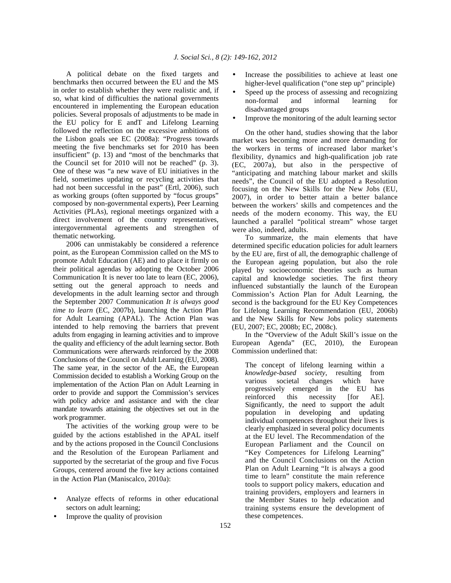A political debate on the fixed targets and benchmarks then occurred between the EU and the MS in order to establish whether they were realistic and, if so, what kind of difficulties the national governments encountered in implementing the European education policies. Several proposals of adjustments to be made in the EU policy for E andT and Lifelong Learning followed the reflection on the excessive ambitions of the Lisbon goals see EC (2008a): "Progress towards meeting the five benchmarks set for 2010 has been insufficient" (p. 13) and "most of the benchmarks that the Council set for 2010 will not be reached" (p. 3). One of these was "a new wave of EU initiatives in the field, sometimes updating or recycling activities that had not been successful in the past" (Ertl, 2006), such as working groups (often supported by "focus groups" composed by non-governmental experts), Peer Learning Activities (PLAs), regional meetings organized with a direct involvement of the country representatives, intergovernmental agreements and strengthen of thematic networking.

 2006 can unmistakably be considered a reference point, as the European Commission called on the MS to promote Adult Education (AE) and to place it firmly on their political agendas by adopting the October 2006 Communication It is never too late to learn (EC, 2006), setting out the general approach to needs and developments in the adult learning sector and through the September 2007 Communication *It is always good time to learn* (EC, 2007b), launching the Action Plan for Adult Learning (APAL). The Action Plan was intended to help removing the barriers that prevent adults from engaging in learning activities and to improve the quality and efficiency of the adult learning sector. Both Communications were afterwards reinforced by the 2008 Conclusions of the Council on Adult Learning (EU, 2008). The same year, in the sector of the AE, the European Commission decided to establish a Working Group on the implementation of the Action Plan on Adult Learning in order to provide and support the Commission's services with policy advice and assistance and with the clear mandate towards attaining the objectives set out in the work programmer.

 The activities of the working group were to be guided by the actions established in the APAL itself and by the actions proposed in the Council Conclusions and the Resolution of the European Parliament and supported by the secretariat of the group and five Focus Groups, centered around the five key actions contained in the Action Plan (Maniscalco, 2010a):

- Analyze effects of reforms in other educational sectors on adult learning;
- Improve the quality of provision
- Increase the possibilities to achieve at least one higher-level qualification ("one step up" principle)
- Speed up the process of assessing and recognizing non-formal and informal learning for disadvantaged groups
- Improve the monitoring of the adult learning sector

 On the other hand, studies showing that the labor market was becoming more and more demanding for the workers in terms of increased labor market's flexibility, dynamics and high-qualification job rate (EC, 2007a), but also in the perspective of "anticipating and matching labour market and skills needs", the Council of the EU adopted a Resolution focusing on the New Skills for the New Jobs (EU, 2007), in order to better attain a better balance between the workers' skills and competences and the needs of the modern economy. This way, the EU launched a parallel "political stream" whose target were also, indeed, adults.

 To summarize, the main elements that have determined specific education policies for adult learners by the EU are, first of all, the demographic challenge of the European ageing population, but also the role played by socioeconomic theories such as human capital and knowledge societies. The first theory influenced substantially the launch of the European Commission's Action Plan for Adult Learning, the second is the background for the EU Key Competences for Lifelong Learning Recommendation (EU, 2006b) and the New Skills for New Jobs policy statements (EU, 2007; EC, 2008b; EC, 2008c).

 In the "Overview of the Adult Skill's issue on the European Agenda" (EC, 2010), the European Commission underlined that:

The concept of lifelong learning within a *knowledge-based society*, resulting from various societal changes which have progressively emerged in the EU has<br>reinforced this necessity [for AE]. reinforced this necessity [for AE]. Significantly, the need to support the adult population in developing and updating individual competences throughout their lives is clearly emphasized in several policy documents at the EU level. The Recommendation of the European Parliament and the Council on "Key Competences for Lifelong Learning" and the Council Conclusions on the Action Plan on Adult Learning "It is always a good time to learn" constitute the main reference tools to support policy makers, education and training providers, employers and learners in the Member States to help education and training systems ensure the development of these competences.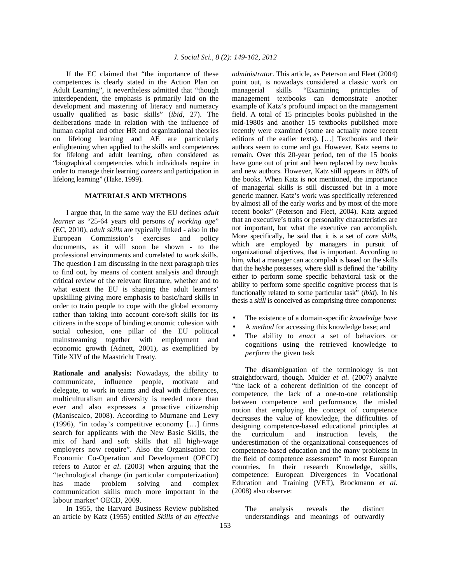If the EC claimed that "the importance of these competences is clearly stated in the Action Plan on Adult Learning", it nevertheless admitted that "though interdependent, the emphasis is primarily laid on the development and mastering of literacy and numeracy usually qualified as basic skills" (*ibid*, 27). The deliberations made in relation with the influence of human capital and other HR and organizational theories on lifelong learning and AE are particularly enlightening when applied to the skills and competences for lifelong and adult learning, often considered as "biographical competencies which individuals require in order to manage their learning *careers* and participation in lifelong learning" (Hake, 1999).

## **MATERIALS AND METHODS**

 I argue that, in the same way the EU defines *adult learner* as "25-64 years old persons *of working age*" (EC, 2010), *adult skills* are typically linked - also in the European Commission's exercises and policy documents, as it will soon be shown - to the professional environments and correlated to work skills. The question I am discussing in the next paragraph tries to find out, by means of content analysis and through critical review of the relevant literature, whether and to what extent the EU is shaping the adult learners' upskilling giving more emphasis to basic/hard skills in order to train people to cope with the global economy rather than taking into account core/soft skills for its citizens in the scope of binding economic cohesion with social cohesion, one pillar of the EU political mainstreaming together with employment and economic growth (Adnett, 2001), as exemplified by Title XIV of the Maastricht Treaty.

**Rationale and analysis:** Nowadays, the ability to communicate, influence people, motivate and delegate, to work in teams and deal with differences, multiculturalism and diversity is needed more than ever and also expresses a proactive citizenship (Maniscalco, 2008). According to Murnane and Levy (1996), "in today's competitive economy […] firms search for applicants with the New Basic Skills, the mix of hard and soft skills that all high-wage employers now require". Also the Organisation for Economic Co-Operation and Development (OECD) refers to Autor *et al*. (2003) when arguing that the "technological change (in particular computerization) has made problem solving and complex communication skills much more important in the labour market" OECD, 2009.

 In 1955, the Harvard Business Review published an article by Katz (1955) entitled *Skills of an effective* 

*administrator*. This article, as Peterson and Fleet (2004) point out, is nowadays considered a classic work on managerial skills "Examining principles of management textbooks can demonstrate another example of Katz's profound impact on the management field. A total of 15 principles books published in the mid-1980s and another 15 textbooks published more recently were examined (some are actually more recent editions of the earlier texts). […] Textbooks and their authors seem to come and go. However, Katz seems to remain. Over this 20-year period, ten of the 15 books have gone out of print and been replaced by new books and new authors. However, Katz still appears in 80% of the books. When Katz is not mentioned, the importance of managerial skills is still discussed but in a more generic manner. Katz's work was specifically referenced by almost all of the early works and by most of the more recent books" (Peterson and Fleet, 2004). Katz argued that an executive's traits or personality characteristics are not important, but what the executive can accomplish. More specifically, he said that it is a set of *core skills*, which are employed by managers in pursuit of organizational objectives, that is important. According to him, what a manager can accomplish is based on the skills that the he/she possesses, where skill is defined the "ability either to perform some specific behavioral task or the ability to perform some specific cognitive process that is functionally related to some particular task" (*ibid*). In his thesis a *skill* is conceived as comprising three components:

- The existence of a domain-specific *knowledge base*
- A *method* for accessing this knowledge base; and
- The ability to *enact* a set of behaviors or cognitions using the retrieved knowledge to *perform* the given task

 The disambiguation of the terminology is not straightforward, though. Mulder *et al*. (2007) analyze "the lack of a coherent definition of the concept of competence, the lack of a one-to-one relationship between competence and performance, the misled notion that employing the concept of competence decreases the value of knowledge, the difficulties of designing competence-based educational principles at the curriculum and instruction levels, the underestimation of the organizational consequences of competence-based education and the many problems in the field of competence assessment" in most European countries. In their research Knowledge, skills, competence: European Divergences in Vocational Education and Training (VET), Brockmann *et al*. (2008) also observe:

The analysis reveals the distinct understandings and meanings of outwardly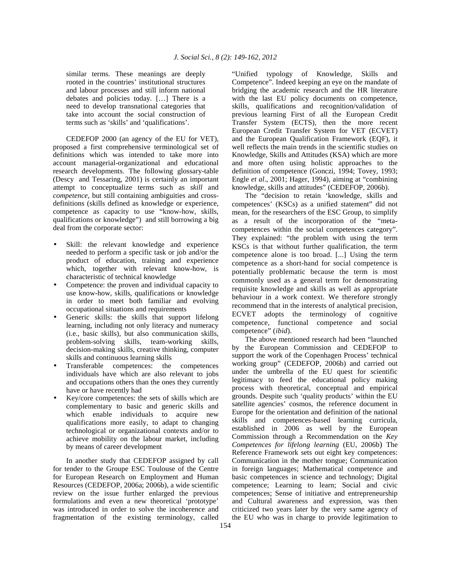similar terms. These meanings are deeply rooted in the countries' institutional structures and labour processes and still inform national debates and policies today. […] There is a need to develop transnational categories that take into account the social construction of terms such as 'skills' and 'qualifications'.

 CEDEFOP 2000 (an agency of the EU for VET), proposed a first comprehensive terminological set of definitions which was intended to take more into account managerial-organizational and educational research developments. The following glossary-table (Descy and Tessaring, 2001) is certainly an important attempt to conceptualize terms such as *skill* and *competence*, but still containing ambiguities and crossdefinitions (skills defined as knowledge or experience, competence as capacity to use "know-how, skills, qualifications or knowledge") and still borrowing a big deal from the corporate sector:

- Skill: the relevant knowledge and experience needed to perform a specific task or job and/or the product of education, training and experience which, together with relevant know-how, is characteristic of technical knowledge
- Competence: the proven and individual capacity to use know-how, skills, qualifications or knowledge in order to meet both familiar and evolving occupational situations and requirements
- Generic skills: the skills that support lifelong learning, including not only literacy and numeracy (i.e., basic skills), but also communication skills, problem-solving skills, team-working skills, decision-making skills, creative thinking, computer skills and continuous learning skills
- Transferable competences: the competences individuals have which are also relevant to jobs and occupations others than the ones they currently have or have recently had
- Key/core competences: the sets of skills which are complementary to basic and generic skills and which enable individuals to acquire new qualifications more easily, to adapt to changing technological or organizational contexts and/or to achieve mobility on the labour market, including by means of career development

 In another study that CEDEFOP assigned by call for tender to the Groupe ESC Toulouse of the Centre for European Research on Employment and Human Resources (CEDEFOP, 2006a; 2006b), a wide scientific review on the issue further enlarged the previous formulations and even a new theoretical 'prototype' was introduced in order to solve the incoherence and fragmentation of the existing terminology, called

"Unified typology of Knowledge, Skills and Competence". Indeed keeping an eye on the mandate of bridging the academic research and the HR literature with the last EU policy documents on competence, skills, qualifications and recognition/validation of previous learning First of all the European Credit Transfer System (ECTS), then the more recent European Credit Transfer System for VET (ECVET) and the European Qualification Framework (EQF), it well reflects the main trends in the scientific studies on Knowledge, Skills and Attitudes (KSA) which are more and more often using holistic approaches to the definition of competence (Gonczi, 1994; Tovey, 1993; Engle *et al*., 2001; Hager, 1994), aiming at "combining knowledge, skills and attitudes" (CEDEFOP, 2006b).

 The "decision to retain 'knowledge, skills and competences' (KSCs) as a unified statement" did not mean, for the researchers of the ESC Group, to simplify as a result of the incorporation of the "metacompetences within the social competences category". They explained: "the problem with using the term KSCs is that without further qualification, the term competence alone is too broad. [...] Using the term competence as a short-hand for social competence is potentially problematic because the term is most commonly used as a general term for demonstrating requisite knowledge and skills as well as appropriate behaviour in a work context. We therefore strongly recommend that in the interests of analytical precision, ECVET adopts the terminology of cognitive competence, functional competence and social competence" (*ibid*).

 The above mentioned research had been "launched by the European Commission and CEDEFOP to support the work of the Copenhagen Process' technical working group" (CEDEFOP, 2006b) and carried out under the umbrella of the EU quest for scientific legitimacy to feed the educational policy making process with theoretical, conceptual and empirical grounds. Despite such 'quality products' within the EU satellite agencies' cosmos, the reference document in Europe for the orientation and definition of the national skills and competences-based learning curricula, established in 2006 as well by the European Commission through a Recommendation on the *Key Competences for lifelong learning* (EU, 2006b) The Reference Framework sets out eight key competences: Communication in the mother tongue; Communication in foreign languages; Mathematical competence and basic competences in science and technology; Digital competence; Learning to learn; Social and civic competences; Sense of initiative and entrepreneurship and Cultural awareness and expression, was then criticized two years later by the very same agency of the EU who was in charge to provide legitimation to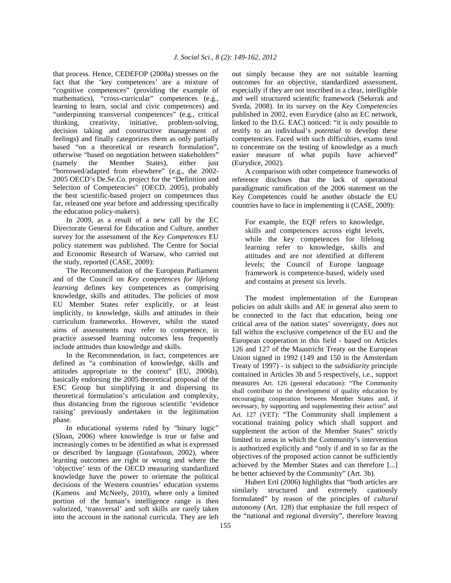that process. Hence, CEDEFOP (2008a) stresses on the fact that the 'key competences' are a mixture of "cognitive competences" (providing the example of mathematics), "cross-curricular" competences (e.g., learning to learn, social and civic competences) and "underpinning transversal competences" (e.g., critical thinking, creativity, initiative, problem-solving, decision taking and constructive management of feelings) and finally categorizes them as only partially based "on a theoretical or research formulation", otherwise "based on negotiation between stakeholders" (namely the Member States), either just "borrowed/adapted from elsewhere" (e.g., the 2002- 2005 OECD's De.Se.Co. project for the "Definition and Selection of Competencies" (OECD, 2005), probably the best scientific-based project on competences thus far, released one year before and addressing specifically the education policy-makers).

 In 2009, as a result of a new call by the EC Directorate General for Education and Culture, another survey for the assessment of the *Key Competences* EU policy statement was published. The Centre for Social and Economic Research of Warsaw, who carried out the study, reported (CASE, 2009):

 The Recommendation of the European Parliament and of the Council on *Key competences for lifelong learning* defines key competences as comprising knowledge, skills and attitudes. The policies of most EU Member States refer explicitly, or at least implicitly, to knowledge, skills and attitudes in their curriculum frameworks. However, whilst the stated aims of assessments may refer to competence, in practice assessed learning outcomes less frequently include attitudes than knowledge and skills.

 In the Recommendation, in fact, competences are defined as "a combination of knowledge, skills and attitudes appropriate to the context" (EU, 2006b), basically endorsing the 2005 theoretical proposal of the ESC Group but simplifying it and dispersing its theoretical formulation's articulation and complexity, thus distancing from the rigorous scientific 'evidence raising' previously undertaken in the legitimation phase.

 In educational systems ruled by "binary logic" (Sloan, 2006) where knowledge is true or false and increasingly comes to be identified as what is expressed or described by language (Gustafsson, 2002), where learning outcomes are right or wrong and where the 'objective' tests of the OECD measuring standardized knowledge have the power to orientate the political decisions of the Western countries' education systems (Kamens and McNeely, 2010), where only a limited portion of the human's intelligence range is then valorized, 'transversal' and soft skills are rarely taken into the account in the national curricula. They are left

out simply because they are not suitable learning outcomes for an objective, standardized assessment, especially if they are not inscribed in a clear, intelligible and well structured scientific framework (Sekerak and Sveda, 2008). In its survey on the *Key Competencies* published in 2002, even Eurydice (also an EC network, linked to the D.G. EAC) noticed: "it is only possible to testify to an individual's *potential* to develop these competencies. Faced with such difficulties, exams tend to concentrate on the testing of knowledge as a much easier measure of what pupils have achieved" (Eurydice, 2002).

 A comparison with other competence frameworks of reference discloses that the lack of operational paradigmatic ramification of the 2006 statement on the Key Competences could be another obstacle the EU countries have to face in implementing it (CASE, 2009):

For example, the EQF refers to knowledge, skills and competences across eight levels, while the key competences for lifelong learning refer to knowledge, skills and attitudes and are *not* identified at different levels; the Council of Europe language framework is competence-based, widely used and contains at present six levels.

 The modest implementation of the European policies on adult skills and AE in general also seem to be connected to the fact that education, being one critical area of the nation states' sovereignty, does not fall within the exclusive competence of the EU and the European cooperation in this field - based on Articles 126 and 127 of the Maastricht Treaty on the European Union signed in 1992 (149 and 150 in the Amsterdam Treaty of 1997) - is subject to the *subsidiarity* principle contained in Articles 3b and 5 respectively, i.e., support measures Art. 126 (general education): "The Community shall contribute to the development of quality education by encouraging cooperation between Member States and, if necessary, by supporting and supplementing their action" and Art. 127 (VET): "The Community shall implement a vocational training policy which shall support and supplement the action of the Member States" strictly limited to areas in which the Community's intervention is authorized explicitly and "only if and in so far as the objectives of the proposed action cannot be sufficiently achieved by the Member States and can therefore [...] be better achieved by the Community" (Art. 3b).

 Hubert Ertl (2006) highlights that "both articles are similarly structured and extremely cautiously formulated" by reason of the principles of *cultural autonomy* (Art. 128) that emphasize the full respect of the "national and regional diversity", therefore leaving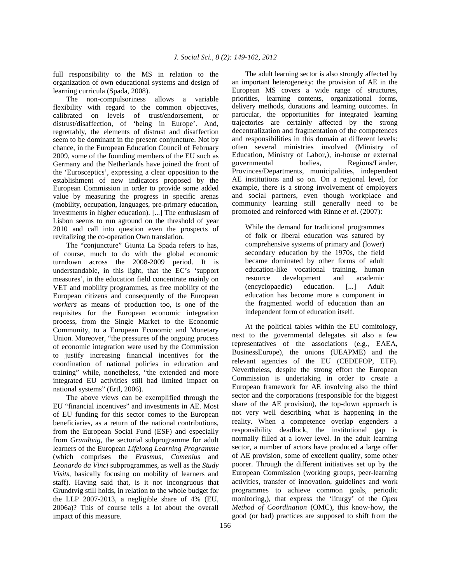full responsibility to the MS in relation to the organization of own educational systems and design of learning curricula (Spada, 2008).

 The non-compulsoriness allows a variable flexibility with regard to the common objectives, calibrated on levels of trust/endorsement, or distrust/disaffection, of 'being in Europe'. And, regrettably, the elements of distrust and disaffection seem to be dominant in the present conjuncture. Not by chance, in the European Education Council of February 2009, some of the founding members of the EU such as Germany and the Netherlands have joined the front of the 'Eurosceptics', expressing a clear opposition to the establishment of new indicators proposed by the European Commission in order to provide some added value by measuring the progress in specific arenas (mobility, occupation, languages, pre-primary education, investments in higher education). [...] The enthusiasm of Lisbon seems to run aground on the threshold of year 2010 and call into question even the prospects of revitalizing the co-operation Own translation.

 The "conjuncture" Giunta La Spada refers to has, of course, much to do with the global economic turndown across the 2008-2009 period. It is understandable, in this light, that the EC's 'support measures', in the education field concentrate mainly on VET and mobility programmes, as free mobility of the European citizens and consequently of the European *workers* as means of production too, is one of the requisites for the European economic integration process, from the Single Market to the Economic Community, to a European Economic and Monetary Union. Moreover, "the pressures of the ongoing process of economic integration were used by the Commission to justify increasing financial incentives for the coordination of national policies in education and training" while, nonetheless, "the extended and more integrated EU activities still had limited impact on national systems" (Ertl, 2006).

 The above views can be exemplified through the EU "financial incentives" and investments in AE. Most of EU funding for this sector comes to the European beneficiaries, as a return of the national contributions, from the European Social Fund (ESF) and especially from *Grundtvig*, the sectorial subprogramme for adult learners of the European *Lifelong Learning Programme* (which comprises the *Erasmus*, *Comenius* and *Leonardo da Vinci* subprogrammes, as well as the *Study Visits*, basically focusing on mobility of learners and staff). Having said that, is it not incongruous that Grundtvig still holds, in relation to the whole budget for the LLP 2007-2013, a negligible share of 4% (EU, 2006a)? This of course tells a lot about the overall impact of this measure.

 The adult learning sector is also strongly affected by an important heterogeneity: the provision of AE in the European MS covers a wide range of structures, priorities, learning contents, organizational forms, delivery methods, durations and learning outcomes. In particular, the opportunities for integrated learning trajectories are certainly affected by the strong decentralization and fragmentation of the competences and responsibilities in this domain at different levels: often several ministries involved (Ministry of Education, Ministry of Labor,), in-house or external governmental bodies, Regions/Länder, Provinces/Departments, municipalities, independent AE institutions and so on. On a regional level, for example, there is a strong involvement of employers and social partners, even though workplace and community learning still generally need to be promoted and reinforced with Rinne *et al*. (2007):

While the demand for traditional programmes of folk or liberal education was satured by comprehensive systems of primary and (lower) secondary education by the 1970s, the field became dominated by other forms of adult education-like vocational training, human resource development and academic (encyclopaedic) education. [...] Adult education has become more a component in the fragmented world of education than an independent form of education itself.

 At the political tables within the EU comitology, next to the governmental delegates sit also a few representatives of the associations (e.g., EAEA, BusinessEurope), the unions (UEAPME) and the relevant agencies of the EU (CEDEFOP, ETF). Nevertheless, despite the strong effort the European Commission is undertaking in order to create a European framework for AE involving also the third sector and the corporations (responsible for the biggest share of the AE provision), the top-down approach is not very well describing what is happening in the reality. When a competence overlap engenders a responsibility deadlock, the institutional gap is normally filled at a lower level. In the adult learning sector, a number of actors have produced a large offer of AE provision, some of excellent quality, some other poorer. Through the different initiatives set up by the European Commission (working groups, peer-learning activities, transfer of innovation, guidelines and work programmes to achieve common goals, periodic monitoring,), that express the 'liturgy' of the *Open Method of Coordination* (OMC), this know-how, the good (or bad) practices are supposed to shift from the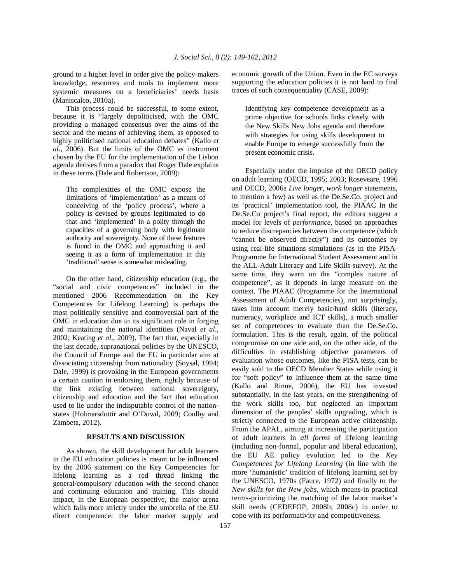ground to a higher level in order give the policy-makers knowledge, resources and tools to implement more systemic measures on a beneficiaries' needs basis (Maniscalco, 2010a).

 This process could be successful, to some extent, because it is "largely depoliticised, with the OMC providing a managed consensus over the aims of the sector and the means of achieving them, as opposed to highly politicised national education debates" (Kallo *et al*., 2006). But the limits of the OMC as instrument chosen by the EU for the implementation of the Lisbon agenda derives from a paradox that Roger Dale explains in these terms (Dale and Robertson, 2009):

The complexities of the OMC expose the limitations of 'implementation' as a means of conceiving of the 'policy process', where a policy is devised by groups legitimated to do that and 'implemented' in a polity through the capacities of a governing body with legitimate authority and sovereignty. None of these features is found in the OMC and approaching it and seeing it as a form of implementation in this 'traditional' sense is somewhat misleading.

 On the other hand, citizenship education (e.g., the "social and civic competences" included in the mentioned 2006 Recommendation on the Key Competences for Lifelong Learning) is perhaps the most politically sensitive and controversial part of the OMC in education due to its significant role in forging and maintaining the national identities (Naval *et al*., 2002; Keating *et al*., 2009). The fact that, especially in the last decade, supranational policies by the UNESCO, the Council of Europe and the EU in particular aim at dissociating citizenship from nationality (Soysal, 1994; Dale, 1999) is provoking in the European governments a certain caution in endorsing them, rightly because of the link existing between national sovereignty, citizenship and education and the fact that education used to lie under the indisputable control of the nationstates (Holmarsdottir and O'Dowd, 2009; Coulby and Zambeta, 2012).

#### **RESULTS AND DISCUSSION**

 As shown, the skill development for adult learners in the EU education policies is meant to be influenced by the 2006 statement on the Key Competencies for lifelong learning as a red thread linking the general/compulsory education with the second chance and continuing education and training. This should impact, in the European perspective, the major arena which falls more strictly under the umbrella of the EU direct competence: the labor market supply and economic growth of the Union. Even in the EC surveys supporting the education policies it is not hard to find traces of such consequentiality (CASE, 2009):

Identifying key competence development as a prime objective for schools links closely with the New Skills New Jobs agenda and therefore with strategies for using skills development to enable Europe to emerge successfully from the present economic crisis.

 Especially under the impulse of the OECD policy on adult learning (OECD, 1995; 2003; Roseveare, 1996 and OECD, 2006a *Live longer, work longer* statements, to mention a few) as well as the De.Se.Co. project and its 'practical' implementation tool, the PIAAC In the De.Se.Co project's final report, the editors suggest a model for levels of *performance*, based on approaches to reduce discrepancies between the competence (which "cannot be observed directly") and its outcomes by using real-life situations simulations (as in the PISA-Programme for International Student Assessment and in the ALL-Adult Literacy and Life Skills survey). At the same time, they warn on the "complex nature of competence", as it depends in large measure on the context. The PIAAC (Programme for the International Assessment of Adult Competencies), not surprisingly, takes into account merely basic/hard skills (literacy, numeracy, workplace and ICT skills), a much smaller set of competences to evaluate than the De.Se.Co. formulation. This is the result, again, of the political compromise on one side and, on the other side, of the difficulties in establishing objective parameters of evaluation whose outcomes, like the PISA tests, can be easily sold to the OECD Member States while using it for "soft policy" to influence them at the same time (Kallo and Rinne, 2006), the EU has invested substantially, in the last years, on the strengthening of the work skills too, but neglected an important dimension of the peoples' skills upgrading, which is strictly connected to the European active citizenship. From the APAL, aiming at increasing the participation of adult learners in *all forms* of lifelong learning (including non-formal, popular and liberal education), the EU AE policy evolution led to the *Key Competences for Lifelong Learning* (in line with the more 'humanistic' tradition of lifelong learning set by the UNESCO, 1970s (Faure, 1972) and finally to the *New skills for the New jobs*, which means-in practical terms-prioritizing the matching of the labor market's skill needs (CEDEFOP, 2008b; 2008c) in order to cope with its performativity and competitiveness.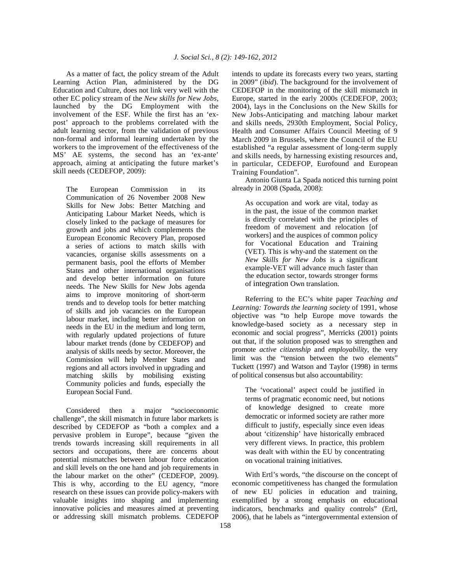As a matter of fact, the policy stream of the Adult Learning Action Plan, administered by the DG Education and Culture, does not link very well with the other EC policy stream of the *New skills for New Jobs*, launched by the DG Employment with the involvement of the ESF. While the first has an 'expost' approach to the problems correlated with the adult learning sector, from the validation of previous non-formal and informal learning undertaken by the workers to the improvement of the effectiveness of the MS' AE systems, the second has an 'ex-ante' approach, aiming at anticipating the future market's skill needs (CEDEFOP, 2009):

The European Commission in its Communication of 26 November 2008 New Skills for New Jobs: Better Matching and Anticipating Labour Market Needs, which is closely linked to the package of measures for growth and jobs and which complements the European Economic Recovery Plan, proposed a series of actions to match skills with vacancies, organise skills assessments on a permanent basis, pool the efforts of Member States and other international organisations and develop better information on future needs. The New Skills for New Jobs agenda aims to improve monitoring of short-term trends and to develop tools for better matching of skills and job vacancies on the European labour market, including better information on needs in the EU in the medium and long term, with regularly updated projections of future labour market trends (done by CEDEFOP) and analysis of skills needs by sector. Moreover, the Commission will help Member States and regions and all actors involved in upgrading and matching skills by mobilising existing Community policies and funds, especially the European Social Fund.

 Considered then a major "socioeconomic challenge", the skill mismatch in future labor markets is described by CEDEFOP as "both a complex and a pervasive problem in Europe", because "given the trends towards increasing skill requirements in all sectors and occupations, there are concerns about potential mismatches between labour force education and skill levels on the one hand and job requirements in the labour market on the other" (CEDEFOP, 2009). This is why, according to the EU agency, "more research on these issues can provide policy-makers with valuable insights into shaping and implementing innovative policies and measures aimed at preventing or addressing skill mismatch problems. CEDEFOP

intends to update its forecasts every two years, starting in 2009" (*ibid*). The background for the involvement of CEDEFOP in the monitoring of the skill mismatch in Europe, started in the early 2000s (CEDEFOP, 2003; 2004), lays in the Conclusions on the New Skills for New Jobs-Anticipating and matching labour market and skills needs, 2930th Employment, Social Policy, Health and Consumer Affairs Council Meeting of 9 March 2009 in Brussels, where the Council of the EU established "a regular assessment of long-term supply and skills needs, by harnessing existing resources and, in particular, CEDEFOP, Eurofound and European Training Foundation".

 Antonio Giunta La Spada noticed this turning point already in 2008 (Spada, 2008):

As occupation and work are vital, today as in the past, the issue of the common market is directly correlated with the principles of freedom of movement and relocation [of workers] and the auspices of common policy for Vocational Education and Training (VET). This is why-and the statement on the *New Skills for New Jobs* is a significant example-VET will advance much faster than the education sector, towards stronger forms of integration Own translation.

 Referring to the EC's white paper *Teaching and Learning: Towards the learning society* of 1991, whose objective was "to help Europe move towards the knowledge-based society as a necessary step in economic and social progress", Merricks (2001) points out that, if the solution proposed was to strengthen and promote *active citizenship* and *employability*, the very limit was the "tension between the two elements" Tuckett (1997) and Watson and Taylor (1998) in terms of political consensus but also accountability:

The 'vocational' aspect could be justified in terms of pragmatic economic need, but notions of knowledge designed to create more democratic or informed society are rather more difficult to justify, especially since even ideas about 'citizenship' have historically embraced very different views. In practice, this problem was dealt with within the EU by concentrating on vocational training initiatives.

 With Ertl's words, "the discourse on the concept of economic competitiveness has changed the formulation of new EU policies in education and training, exemplified by a strong emphasis on educational indicators, benchmarks and quality controls" (Ertl, 2006), that he labels as "intergovernmental extension of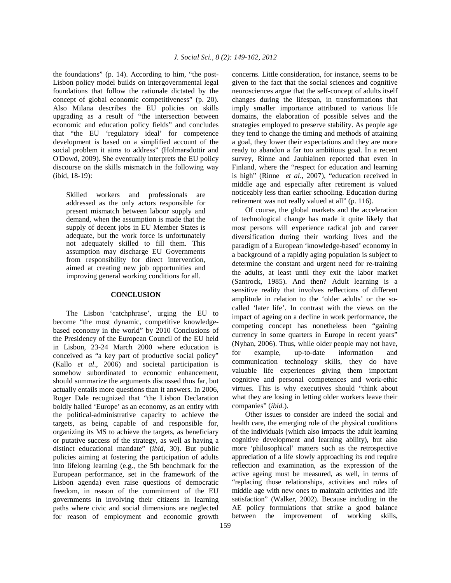the foundations" (p. 14). According to him, "the post-Lisbon policy model builds on intergovernmental legal foundations that follow the rationale dictated by the concept of global economic competitiveness" (p. 20). Also Milana describes the EU policies on skills upgrading as a result of "the intersection between economic and education policy fields" and concludes that "the EU 'regulatory ideal' for competence development is based on a simplified account of the social problem it aims to address" (Holmarsdottir and O'Dowd, 2009). She eventually interprets the EU policy discourse on the skills mismatch in the following way (ibid, 18-19):

Skilled workers and professionals are addressed as the only actors responsible for present mismatch between labour supply and demand, when the assumption is made that the supply of decent jobs in EU Member States is adequate, but the work force is unfortunately not adequately skilled to fill them. This assumption may discharge EU Governments from responsibility for direct intervention, aimed at creating new job opportunities and improving general working conditions for all.

### **CONCLUSION**

 The Lisbon 'catchphrase', urging the EU to become "the most dynamic, competitive knowledgebased economy in the world" by 2010 Conclusions of the Presidency of the European Council of the EU held in Lisbon, 23-24 March 2000 where education is conceived as "a key part of productive social policy" (Kallo *et al*., 2006) and societal participation is somehow subordinated to economic enhancement, should summarize the arguments discussed thus far, but actually entails more questions than it answers. In 2006, Roger Dale recognized that "the Lisbon Declaration boldly hailed 'Europe' as an economy, as an entity with the political-administrative capacity to achieve the targets, as being capable of and responsible for, organizing its MS to achieve the targets, as beneficiary or putative success of the strategy, as well as having a distinct educational mandate" (*ibid*, 30). But public policies aiming at fostering the participation of adults into lifelong learning (e.g., the 5th benchmark for the European performance, set in the framework of the Lisbon agenda) even raise questions of democratic freedom, in reason of the commitment of the EU governments in involving their citizens in learning paths where civic and social dimensions are neglected for reason of employment and economic growth

concerns. Little consideration, for instance, seems to be given to the fact that the social sciences and cognitive neurosciences argue that the self-concept of adults itself changes during the lifespan, in transformations that imply smaller importance attributed to various life domains, the elaboration of possible selves and the strategies employed to preserve stability. As people age they tend to change the timing and methods of attaining a goal, they lower their expectations and they are more ready to abandon a far too ambitious goal. In a recent survey, Rinne and Jauhiainen reported that even in Finland, where the "respect for education and learning is high" (Rinne *et al*., 2007), "education received in middle age and especially after retirement is valued noticeably less than earlier schooling. Education during retirement was not really valued at all" (p. 116).

 Of course, the global markets and the acceleration of technological change has made it quite likely that most persons will experience radical job and career diversification during their working lives and the paradigm of a European 'knowledge-based' economy in a background of a rapidly aging population is subject to determine the constant and urgent need for re-training the adults, at least until they exit the labor market (Santrock, 1985). And then? Adult learning is a sensitive reality that involves reflections of different amplitude in relation to the 'older adults' or the socalled 'later life'. In contrast with the views on the impact of ageing on a decline in work performance, the competing concept has nonetheless been "gaining currency in some quarters in Europe in recent years" (Nyhan, 2006). Thus, while older people may not have, for example, up-to-date information and communication technology skills, they do have valuable life experiences giving them important cognitive and personal competences and work-ethic virtues. This is why executives should "think about what they are losing in letting older workers leave their companies" (*ibid.*).

 Other issues to consider are indeed the social and health care, the emerging role of the physical conditions of the individuals (which also impacts the adult learning cognitive development and learning ability), but also more 'philosophical' matters such as the retrospective appreciation of a life slowly approaching its end require reflection and examination, as the expression of the active ageing must be measured, as well, in terms of "replacing those relationships, activities and roles of middle age with new ones to maintain activities and life satisfaction" (Walker, 2002). Because including in the AE policy formulations that strike a good balance between the improvement of working skills,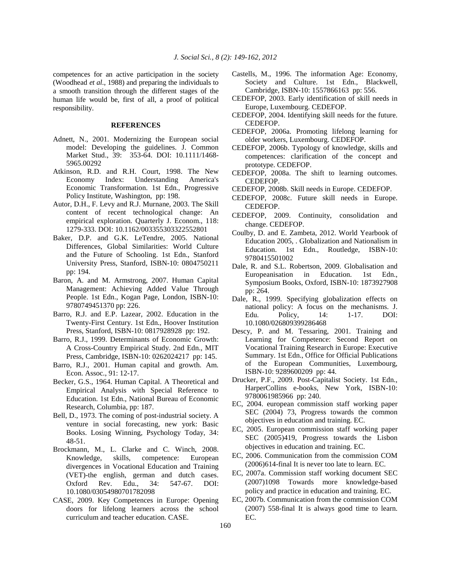competences for an active participation in the society (Woodhead *et al*., 1988) and preparing the individuals to a smooth transition through the different stages of the human life would be, first of all, a proof of political responsibility.

## **REFERENCES**

- Adnett, N., 2001. Modernizing the European social model: Developing the guidelines. J. Common Market Stud., 39: 353-64. DOI: 10.1111/1468- 5965.00292
- Atkinson, R.D. and R.H. Court, 1998. The New Economy Index: Understanding America's Economic Transformation. 1st Edn., Progressive Policy Institute, Washington, pp: 198.
- Autor, D.H., F. Levy and R.J. Murnane, 2003. The Skill content of recent technological change: An empirical exploration. Quarterly J. Econom., 118: 1279-333. DOI: 10.1162/003355303322552801
- Baker, D.P. and G.K. LeTendre, 2005. National Differences, Global Similarities: World Culture and the Future of Schooling. 1st Edn., Stanford University Press, Stanford, ISBN-10: 0804750211 pp: 194.
- Baron, A. and M. Armstrong, 2007. Human Capital Management: Achieving Added Value Through People. 1st Edn., Kogan Page, London, ISBN-10: 9780749451370 pp: 226.
- Barro, R.J. and E.P. Lazear, 2002. Education in the Twenty-First Century. 1st Edn., Hoover Institution Press, Stanford, ISBN-10: 0817928928 pp: 192.
- Barro, R.J., 1999. Determinants of Economic Growth: A Cross-Country Empirical Study. 2nd Edn., MIT Press, Cambridge, ISBN-10: 0262024217 pp: 145.
- Barro, R.J., 2001. Human capital and growth. Am. Econ. Assoc., 91: 12-17.
- Becker, G.S., 1964. Human Capital. A Theoretical and Empirical Analysis with Special Reference to Education. 1st Edn., National Bureau of Economic Research, Columbia, pp: 187.
- Bell, D., 1973. The coming of post-industrial society. A venture in social forecasting, new york: Basic Books. Losing Winning, Psychology Today, 34: 48-51.
- Brockmann, M., L. Clarke and C. Winch, 2008. Knowledge, skills, competence: European divergences in Vocational Education and Training (VET)-the english, german and dutch cases. Oxford Rev. Edu., 34: 547-67. DOI: 10.1080/03054980701782098
- CASE, 2009. Key Competences in Europe: Opening doors for lifelong learners across the school curriculum and teacher education. CASE.
- Castells, M., 1996. The information Age: Economy, Society and Culture. 1st Edn., Blackwell, Cambridge, ISBN-10: 1557866163 pp: 556.
- CEDEFOP, 2003. Early identification of skill needs in Europe, Luxembourg. CEDEFOP.
- CEDEFOP, 2004. Identifying skill needs for the future. CEDEFOP.
- CEDEFOP, 2006a. Promoting lifelong learning for older workers, Luxembourg. CEDEFOP.
- CEDEFOP, 2006b. Typology of knowledge, skills and competences: clarification of the concept and prototype. CEDEFOP.
- CEDEFOP, 2008a. The shift to learning outcomes. CEDEFOP.
- CEDEFOP, 2008b. Skill needs in Europe. CEDEFOP.
- CEDEFOP, 2008c. Future skill needs in Europe. CEDEFOP.
- CEDEFOP, 2009. Continuity, consolidation and change. CEDEFOP.
- Coulby, D. and E. Zambeta, 2012. World Yearbook of Education 2005, . Globalization and Nationalism in Education. 1st Edn., Routledge, ISBN-10: 9780415501002
- Dale, R. and S.L. Robertson, 2009. Globalisation and Europeanisation in Education. 1st Edn., Symposium Books, Oxford, ISBN-10: 1873927908 pp: 264.
- Dale, R., 1999. Specifying globalization effects on national policy: A focus on the mechanisms. J.<br>Edu. Policy. 14: 1-17. DOI: Edu. Policy, 14: 1-17. DOI: 10.1080/026809399286468
- Descy, P. and M. Tessaring, 2001. Training and Learning for Competence: Second Report on Vocational Training Research in Europe: Executive Summary. 1st Edn., Office for Official Publications of the European Communities, Luxembourg, ISBN-10: 9289600209 pp: 44.
- Drucker, P.F., 2009. Post-Capitalist Society. 1st Edn., HarperCollins e-books, New York, ISBN-10: 9780061985966 pp: 240.
- EC, 2004. european commission staff working paper SEC (2004) 73, Progress towards the common objectives in education and training. EC.
- EC, 2005. European commission staff working paper SEC (2005)419, Progress towards the Lisbon objectives in education and training. EC.
- EC, 2006. Communication from the commission COM (2006)614-final It is never too late to learn. EC.
- EC, 2007a. Commission staff working document SEC (2007)1098 Towards more knowledge-based policy and practice in education and training. EC.
- EC, 2007b. Communication from the commission COM (2007) 558-final It is always good time to learn. EC.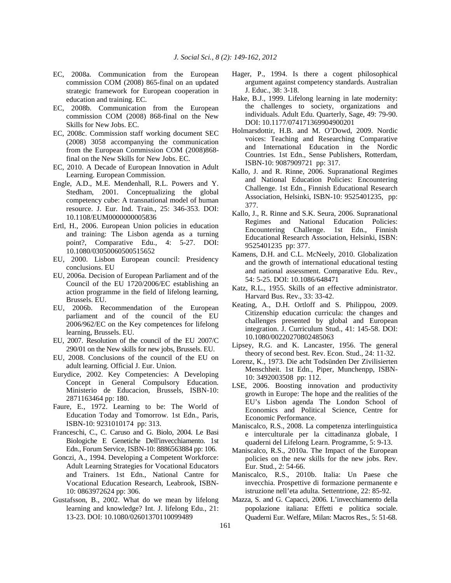- EC, 2008a. Communication from the European commission COM (2008) 865-final on an updated strategic framework for European cooperation in education and training. EC.
- EC, 2008b. Communication from the European commission COM (2008) 868-final on the New Skills for New Jobs. EC.
- EC, 2008c. Commission staff working document SEC (2008) 3058 accompanying the communication from the European Commission COM (2008)868 final on the New Skills for New Jobs. EC.
- EC, 2010. A Decade of European Innovation in Adult Learning. European Commission.
- Engle, A.D., M.E. Mendenhall, R.L. Powers and Y. Stedham, 2001. Conceptualizing the global competency cube: A transnational model of human resource. J. Eur. Ind. Train., 25: 346-353. DOI: 10.1108/EUM0000000005836
- Ertl, H., 2006. European Union policies in education and training: The Lisbon agenda as a turning point?, Comparative Edu., 4: 5-27. DOI: 10.1080/03050060500515652
- EU, 2000. Lisbon European council: Presidency conclusions. EU
- EU, 2006a. Decision of European Parliament and of the Council of the EU 1720/2006/EC establishing an action programme in the field of lifelong learning, Brussels. EU.
- EU, 2006b. Recommendation of the European parliament and of the council of the EU 2006/962/EC on the Key competences for lifelong learning, Brussels. EU.
- EU, 2007. Resolution of the council of the EU 2007/C 290/01 on the New skills for new jobs, Brussels. EU.
- EU, 2008. Conclusions of the council of the EU on adult learning. Official J. Eur. Union.
- Eurydice, 2002. Key Competencies: A Developing Concept in General Compulsory Education. Ministerio de Educacion, Brussels, ISBN-10: 2871163464 pp: 180.
- Faure, E., 1972. Learning to be: The World of Education Today and Tomorrow. 1st Edn., Paris, ISBN-10: 9231010174 pp: 313.
- Franceschi, C., C. Caruso and G. Biolo, 2004. Le Basi Biologiche E Genetiche Dell'invecchiamento. 1st Edn., Forum Service, ISBN-10: 8886563884 pp: 106.
- Gonczi, A., 1994. Developing a Competent Workforce: Adult Learning Strategies for Vocational Educators and Trainers. 1st Edn., National Cantre for Vocational Education Research, Leabrook, ISBN-10: 0863972624 pp: 306.
- Gustafsson, B., 2002. What do we mean by lifelong learning and knowledge? Int. J. lifelong Edu., 21: 13-23. DOI: 10.1080/02601370110099489
- Hager, P., 1994. Is there a cogent philosophical argument against competency standards. Australian J. Educ., 38: 3-18.
- Hake, B.J., 1999. Lifelong learning in late modernity: the challenges to society, organizations and individuals. Adult Edu. Quarterly, Sage, 49: 79-90. DOI: 10.1177/074171369904900201
- Holmarsdottir, H.B. and M. O'Dowd, 2009. Nordic voices: Teaching and Researching Comparative and International Education in the Nordic Countries. 1st Edn., Sense Publishers, Rotterdam, ISBN-10: 9087909721 pp: 317.
- Kallo, J. and R. Rinne, 2006. Supranational Regimes and National Education Policies: Encountering Challenge. 1st Edn., Finnish Educational Research Association, Helsinki, ISBN-10: 9525401235, pp: 377.
- Kallo, J., R. Rinne and S.K. Seura, 2006. Supranational Regimes and National Education Policies: Encountering Challenge. 1st Edn., Finnish Educational Research Association, Helsinki, ISBN: 9525401235 pp: 377.
- Kamens, D.H. and C.L. McNeely, 2010. Globalization and the growth of international educational testing and national assessment. Comparative Edu. Rev., 54: 5-25. DOI: 10.1086/648471
- Katz, R.L., 1955. Skills of an effective administrator. Harvard Bus. Rev., 33: 33-42.
- Keating, A., D.H. Ortloff and S. Philippou, 2009. Citizenship education curricula: the changes and challenges presented by global and European integration. J. Curriculum Stud., 41: 145-58. DOI: 10.1080/00220270802485063
- Lipsey, R.G. and K. Lancaster, 1956. The general theory of second best. Rev. Econ. Stud., 24: 11-32.
- Lorenz, K., 1973. Die acht Todsünden Der Zivilisierten Menschheit. 1st Edn., Piper, Munchenpp, ISBN-10: 3492003508 pp: 112.
- LSE, 2006. Boosting innovation and productivity growth in Europe: The hope and the realities of the EU's Lisbon agenda The London School of Economics and Political Science, Centre for Economic Performance.
- Maniscalco, R.S., 2008. La competenza interlinguistica e interculturale per la cittadinanza globale, I quaderni del Lifelong Learn. Programme, 5: 9-13.
- Maniscalco, R.S., 2010a. The Impact of the European policies on the new skills for the new jobs. Rev. Eur. Stud., 2: 54-66.
- Maniscalco, R.S., 2010b. Italia: Un Paese che invecchia. Prospettive di formazione permanente e istruzione nell'eta adulta. Settentrione, 22: 85-92.
- Mazza, S. and G. Capacci, 2006. L'invecchiamento della popolazione italiana: Effetti e politica sociale. Quaderni Eur. Welfare, Milan: Macros Res., 5: 51-68.